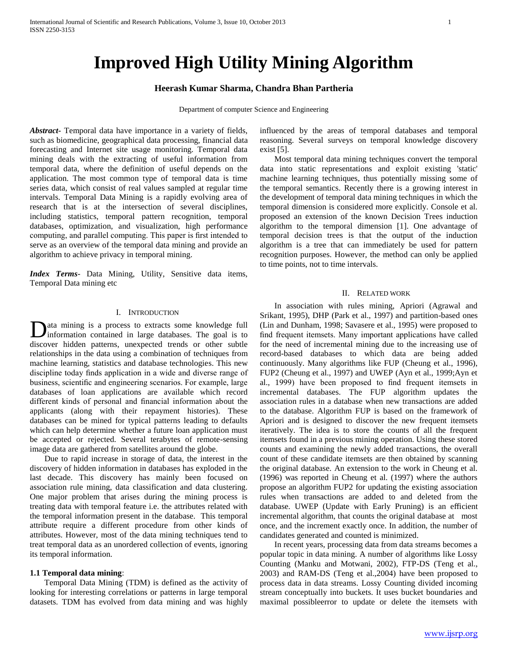# **Improved High Utility Mining Algorithm**

# **Heerash Kumar Sharma, Chandra Bhan Partheria**

Department of computer Science and Engineering

*Abstract***-** Temporal data have importance in a variety of fields, such as biomedicine, geographical data processing, financial data forecasting and Internet site usage monitoring. Temporal data mining deals with the extracting of useful information from temporal data, where the definition of useful depends on the application. The most common type of temporal data is time series data, which consist of real values sampled at regular time intervals. Temporal Data Mining is a rapidly evolving area of research that is at the intersection of several disciplines, including statistics, temporal pattern recognition, temporal databases, optimization, and visualization, high performance computing, and parallel computing. This paper is first intended to serve as an overview of the temporal data mining and provide an algorithm to achieve privacy in temporal mining.

*Index Terms*- Data Mining, Utility, Sensitive data items, Temporal Data mining etc

# I. INTRODUCTION

ata mining is a process to extracts some knowledge full **D**ata mining is a process to extracts some knowledge full information contained in large databases. The goal is to discover hidden patterns, unexpected trends or other subtle relationships in the data using a combination of techniques from machine learning, statistics and database technologies. This new discipline today finds application in a wide and diverse range of business, scientific and engineering scenarios. For example, large databases of loan applications are available which record different kinds of personal and financial information about the applicants (along with their repayment histories). These databases can be mined for typical patterns leading to defaults which can help determine whether a future loan application must be accepted or rejected. Several terabytes of remote-sensing image data are gathered from satellites around the globe.

 Due to rapid increase in storage of data, the interest in the discovery of hidden information in databases has exploded in the last decade. This discovery has mainly been focused on association rule mining, data classification and data clustering. One major problem that arises during the mining process is treating data with temporal feature i.e. the attributes related with the temporal information present in the database. This temporal attribute require a different procedure from other kinds of attributes. However, most of the data mining techniques tend to treat temporal data as an unordered collection of events, ignoring its temporal information.

#### **1.1 Temporal data mining**:

 Temporal Data Mining (TDM) is defined as the activity of looking for interesting correlations or patterns in large temporal datasets. TDM has evolved from data mining and was highly

influenced by the areas of temporal databases and temporal reasoning. Several surveys on temporal knowledge discovery exist [5].

 Most temporal data mining techniques convert the temporal data into static representations and exploit existing 'static' machine learning techniques, thus potentially missing some of the temporal semantics. Recently there is a growing interest in the development of temporal data mining techniques in which the temporal dimension is considered more explicitly. Console et al. proposed an extension of the known Decision Trees induction algorithm to the temporal dimension [1]. One advantage of temporal decision trees is that the output of the induction algorithm is a tree that can immediately be used for pattern recognition purposes. However, the method can only be applied to time points, not to time intervals.

#### II. RELATED WORK

 In association with rules mining, Apriori (Agrawal and Srikant, 1995), DHP (Park et al., 1997) and partition-based ones (Lin and Dunham, 1998; Savasere et al., 1995) were proposed to find frequent itemsets. Many important applications have called for the need of incremental mining due to the increasing use of record-based databases to which data are being added continuously. Many algorithms like FUP (Cheung et al., 1996), FUP2 (Cheung et al., 1997) and UWEP (Ayn et al., 1999;Ayn et al., 1999) have been proposed to find frequent itemsets in incremental databases. The FUP algorithm updates the association rules in a database when new transactions are added to the database. Algorithm FUP is based on the framework of Apriori and is designed to discover the new frequent itemsets iteratively. The idea is to store the counts of all the frequent itemsets found in a previous mining operation. Using these stored counts and examining the newly added transactions, the overall count of these candidate itemsets are then obtained by scanning the original database. An extension to the work in Cheung et al. (1996) was reported in Cheung et al. (1997) where the authors propose an algorithm FUP2 for updating the existing association rules when transactions are added to and deleted from the database. UWEP (Update with Early Pruning) is an efficient incremental algorithm, that counts the original database at most once, and the increment exactly once. In addition, the number of candidates generated and counted is minimized.

 In recent years, processing data from data streams becomes a popular topic in data mining. A number of algorithms like Lossy Counting (Manku and Motwani, 2002), FTP-DS (Teng et al., 2003) and RAM-DS (Teng et al.,2004) have been proposed to process data in data streams. Lossy Counting divided incoming stream conceptually into buckets. It uses bucket boundaries and maximal possibleerror to update or delete the itemsets with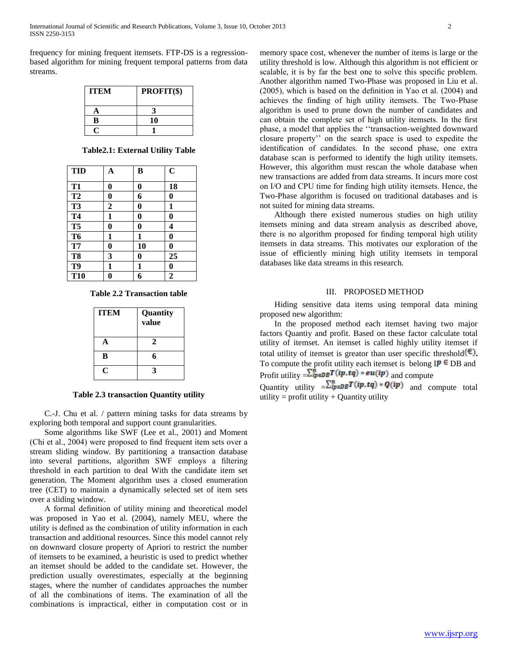frequency for mining frequent itemsets. FTP-DS is a regressionbased algorithm for mining frequent temporal patterns from data streams.

| <b>ITEM</b> | PROFIT(\$) |
|-------------|------------|
|             |            |
| ĸ           | 10         |
|             |            |

**Table2.1: External Utility Table**

| <b>TID</b>     | A              | B        | $\mathbf C$ |
|----------------|----------------|----------|-------------|
| T1             | $\bf{0}$       | $\bf{0}$ | 18          |
| T <sub>2</sub> | 0              | 6        | 0           |
| T <sub>3</sub> | $\overline{2}$ | 0        | 1           |
| <b>T4</b>      | 1              | $\bf{0}$ | 0           |
| T <sub>5</sub> | $\bf{0}$       | $\bf{0}$ | 4           |
| T <sub>6</sub> | 1              | 1        | 0           |
| T7             | 0              | 10       | 0           |
| T <sub>8</sub> | 3              | 0        | 25          |
| T9             | 1              | 1        | 0           |
| <b>T10</b>     |                | 6        | 2           |

**Table 2.2 Transaction table**

| <b>ITEM</b> | Quantity<br>value     |
|-------------|-----------------------|
|             | $\mathcal{D}_{\cdot}$ |
| в           | 6                     |
| r           | 3                     |

# **Table 2.3 transaction Quantity utility**

 C.-J. Chu et al. / pattern mining tasks for data streams by exploring both temporal and support count granularities.

 Some algorithms like SWF (Lee et al., 2001) and Moment (Chi et al., 2004) were proposed to find frequent item sets over a stream sliding window. By partitioning a transaction database into several partitions, algorithm SWF employs a filtering threshold in each partition to deal With the candidate item set generation. The Moment algorithm uses a closed enumeration tree (CET) to maintain a dynamically selected set of item sets over a sliding window.

 A formal definition of utility mining and theoretical model was proposed in Yao et al. (2004), namely MEU, where the utility is defined as the combination of utility information in each transaction and additional resources. Since this model cannot rely on downward closure property of Apriori to restrict the number of itemsets to be examined, a heuristic is used to predict whether an itemset should be added to the candidate set. However, the prediction usually overestimates, especially at the beginning stages, where the number of candidates approaches the number of all the combinations of items. The examination of all the combinations is impractical, either in computation cost or in

memory space cost, whenever the number of items is large or the utility threshold is low. Although this algorithm is not efficient or scalable, it is by far the best one to solve this specific problem. Another algorithm named Two-Phase was proposed in Liu et al. (2005), which is based on the definition in Yao et al. (2004) and achieves the finding of high utility itemsets. The Two-Phase algorithm is used to prune down the number of candidates and can obtain the complete set of high utility itemsets. In the first phase, a model that applies the ''transaction-weighted downward closure property'' on the search space is used to expedite the identification of candidates. In the second phase, one extra database scan is performed to identify the high utility itemsets. However, this algorithm must rescan the whole database when new transactions are added from data streams. It incurs more cost on I/O and CPU time for finding high utility itemsets. Hence, the Two-Phase algorithm is focused on traditional databases and is not suited for mining data streams.

 Although there existed numerous studies on high utility itemsets mining and data stream analysis as described above, there is no algorithm proposed for finding temporal high utility itemsets in data streams. This motivates our exploration of the issue of efficiently mining high utility itemsets in temporal databases like data streams in this research.

# III. PROPOSED METHOD

 Hiding sensitive data items using temporal data mining proposed new algorithm:

 In the proposed method each itemset having two major factors Quantiy and profit. Based on these factor calculate total utility of itemset. An itemset is called highly utility itemset if total utility of itemset is greator than user specific threshold  $(\epsilon)$ . To compute the profit utility each itemset is belong  $IP \in DB$  and Profit utility  $=\sum_{\boldsymbol{p} \in DB}^n T(\boldsymbol{ip}, t\boldsymbol{q}) * \boldsymbol{eu}(\boldsymbol{ip})$  and compute

Quantity utility  $=\sum_{\mathbf{p} \in \mathbf{DB}}^n \mathbf{T}(\mathbf{ip}, \mathbf{tq}) * \mathbf{Q}(\mathbf{ip})$  and compute total utility = profit utility + Quantity utility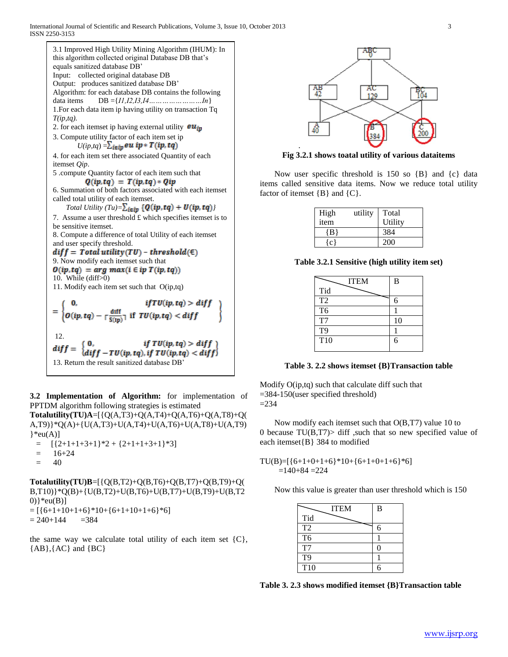

**3.2 Implementation of Algorithm:** for implementation of PPTDM algorithm following strategies is estimated

**Totalutility(TU)A**= $[\{Q(A, T3)+Q(A, T4)+Q(A, T6)+Q(A, T8)+Q(A, T8)\}$ A,T9)}\*Q(A)+{U(A,T3)+U(A,T4)+U(A,T6)+U(A,T8)+U(A,T9)  $\text{*eu}(A)$ ]

 $= \left[ \{2+1+1+3+1\} \cdot 2 + \{2+1+1+3+1\} \cdot 3 \right]$  $= 16+24$  $= 40$ 

**Totalutility(TU)B**=[{Q(B,T2)+Q(B,T6)+Q(B,T7)+Q(B,T9)+Q( B,T10)}\*Q(B)+{U(B,T2)+U(B,T6)+U(B,T7)+U(B,T9)+U(B,T2 0) $\{$ \*eu(B)\}  $=[(6+1+10+1+6)*10+(6+1+10+1+6)*6]$  $= 240 + 144 = 384$ 

the same way we calculate total utility of each item set  $\{C\}$ ,  ${AB}, {AC}$  and  ${BC}$ 



**Fig 3.2.1 shows toatal utility of various dataitems**

.

Now user specific threshold is  $150$  so  ${B}$  and  ${c}$  data items called sensitive data items. Now we reduce total utility factor of itemset  ${B}$  and  ${C}$ .

| High              | utility | Total   |
|-------------------|---------|---------|
| item              |         | Utility |
| $\{B\}$           |         | 384     |
| $\lceil c \rceil$ |         | 200     |

**Table 3.2.1 Sensitive (high utility item set)**

|                 | <b>ITEM</b> | $\boldsymbol{B}$ |
|-----------------|-------------|------------------|
| Tid             |             |                  |
| T <sub>2</sub>  |             | 6                |
| T <sub>6</sub>  |             |                  |
| T7              |             | 10               |
| T <sub>9</sub>  |             |                  |
| T <sub>10</sub> |             | 6                |
|                 |             |                  |

**Table 3. 2.2 shows itemset {B}Transaction table**

Modify O(ip,tq) such that calculate diff such that =384-150(user specified threshold)  $=234$ 

 Now modify each itemset such that O(B,T7) value 10 to 0 because  $TU(B,T7)$  diff , such that so new specified value of each itemset{B} 384 to modified

 $TU(B)=[{6+1+0+1+6}^*10+{6+1+0+1+6}^*6]$  $=140+84 = 224$ 

Now this value is greater than user threshold which is 150

|                 | <b>ITEM</b> | B |
|-----------------|-------------|---|
| Tid             |             |   |
| T <sub>2</sub>  |             | б |
| T <sub>6</sub>  |             |   |
| $\overline{T7}$ |             |   |
| T <sub>9</sub>  |             |   |
| T10             |             |   |

**Table 3. 2.3 shows modified itemset {B}Transaction table**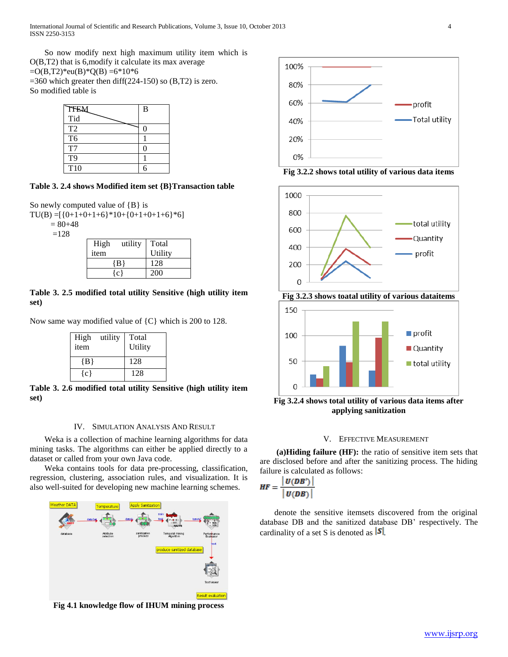International Journal of Scientific and Research Publications, Volume 3, Issue 10, October 2013 4 ISSN 2250-3153

 So now modify next high maximum utility item which is O(B,T2) that is 6,modify it calculate its max average  $=O(B,T2)*eu(B)*Q(B) = 6*10*6$  $=360$  which greater then diff(224-150) so (B,T2) is zero. So modified table is

| TTEM           | B |
|----------------|---|
| Tid            |   |
| T <sub>2</sub> | 0 |
| T <sub>6</sub> |   |
| T7             | 0 |
| T <sub>9</sub> |   |
| T10            | h |

## **Table 3. 2.4 shows Modified item set {B}Transaction table**

So newly computed value of {B} is  $TU(B) = [{0+1+0+1+6}^*10+{0+1+0+1+6}^*6]$ 

> $= 80 + 48$  $=128$

| High    | utility | Total   |
|---------|---------|---------|
| item    |         | Utility |
| {B}     |         | 128     |
| $\{c\}$ |         | 200     |

**Table 3. 2.5 modified total utility Sensitive (high utility item set)**

Now same way modified value of {C} which is 200 to 128.

| High<br>item | utility | Total<br>Utility |
|--------------|---------|------------------|
| ${B}$        |         | 128              |
| $\{c\}$      |         | 128              |

**Table 3. 2.6 modified total utility Sensitive (high utility item set)**

#### IV. SIMULATION ANALYSIS AND RESULT

 Weka is a collection of machine learning algorithms for data mining tasks. The algorithms can either be applied directly to a dataset or called from your own Java code.

 Weka contains tools for data pre-processing, classification, regression, clustering, association rules, and visualization. It is also well-suited for developing new machine learning schemes.



**Fig 4.1 knowledge flow of IHUM mining process**



**Fig 3.2.2 shows total utility of various data items**



**Fig 3.2.3 shows toatal utility of various dataitems**



**Fig 3.2.4 shows total utility of various data items after applying sanitization**

#### V. EFFECTIVE MEASUREMENT

 **(a)Hiding failure (HF):** the ratio of sensitive item sets that are disclosed before and after the sanitizing process. The hiding failure is calculated as follows:

$$
HF = \frac{|U(DB')|}{|U(DB)|}
$$

 denote the sensitive itemsets discovered from the original database DB and the sanitized database DB' respectively. The cardinality of a set S is denoted as  $|S|$ .